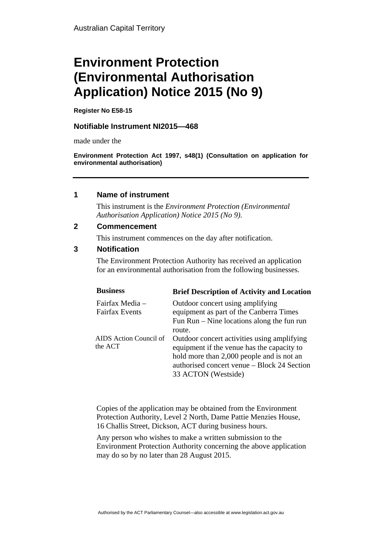# **Environment Protection (Environmental Authorisation Application) Notice 2015 (No 9)**

**Register No E58-15** 

## **Notifiable Instrument NI2015—468**

made under the

**Environment Protection Act 1997, s48(1) (Consultation on application for environmental authorisation)**

### **1 Name of instrument**

This instrument is the *Environment Protection (Environmental Authorisation Application) Notice 2015 (No 9).* 

### **2 Commencement**

This instrument commences on the day after notification.

### **3 Notification**

The Environment Protection Authority has received an application for an environmental authorisation from the following businesses.

| <b>Business</b>                          | <b>Brief Description of Activity and Location</b>                                                                                                                                                                      |
|------------------------------------------|------------------------------------------------------------------------------------------------------------------------------------------------------------------------------------------------------------------------|
| Fairfax Media -<br><b>Fairfax Events</b> | Outdoor concert using amplifying<br>equipment as part of the Canberra Times<br>Fun $Run - Nine$ locations along the fun run                                                                                            |
| AIDS Action Council of<br>the ACT        | route.<br>Outdoor concert activities using amplifying<br>equipment if the venue has the capacity to<br>hold more than 2,000 people and is not an<br>authorised concert venue – Block 24 Section<br>33 ACTON (Westside) |

Copies of the application may be obtained from the Environment Protection Authority, Level 2 North, Dame Pattie Menzies House, 16 Challis Street, Dickson, ACT during business hours.

Any person who wishes to make a written submission to the Environment Protection Authority concerning the above application may do so by no later than 28 August 2015.